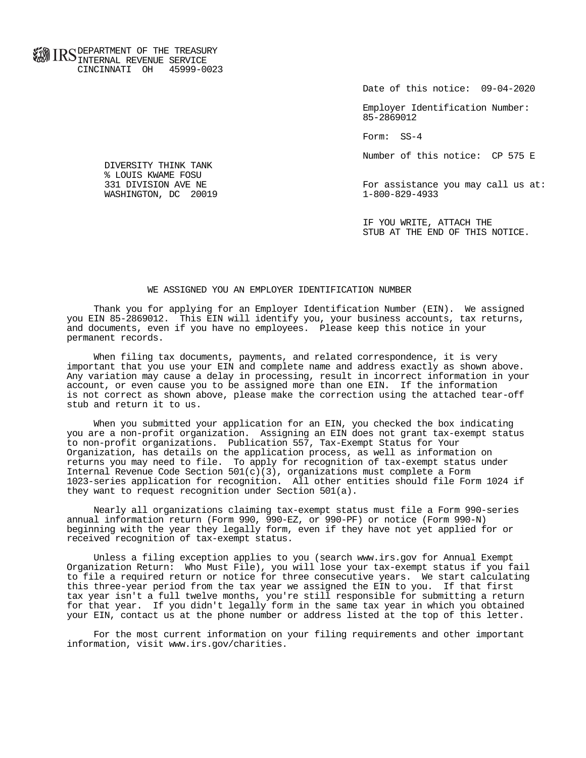**FOR ID C** DEPARTMENT OF THE TREASURY **WWW IIND** INTERNAL REVENUE SERVICE CINCINNATI OH 45999-0023

Date of this notice: 09-04-2020

 Employer Identification Number: 85-2869012

Form: SS-4

Number of this notice: CP 575 E

For assistance you may call us at:<br>1-800-829-4933

 IF YOU WRITE, ATTACH THE STUB AT THE END OF THIS NOTICE.

## WE ASSIGNED YOU AN EMPLOYER IDENTIFICATION NUMBER

 Thank you for applying for an Employer Identification Number (EIN). We assigned you EIN 85-2869012. This EIN will identify you, your business accounts, tax returns, and documents, even if you have no employees. Please keep this notice in your permanent records.

 When filing tax documents, payments, and related correspondence, it is very important that you use your EIN and complete name and address exactly as shown above. Any variation may cause a delay in processing, result in incorrect information in your account, or even cause you to be assigned more than one EIN. If the information is not correct as shown above, please make the correction using the attached tear-off stub and return it to us.

 When you submitted your application for an EIN, you checked the box indicating you are a non-profit organization. Assigning an EIN does not grant tax-exempt status to non-profit organizations. Publication 557, Tax-Exempt Status for Your Organization, has details on the application process, as well as information on returns you may need to file. To apply for recognition of tax-exempt status under Internal Revenue Code Section  $501(c)(3)$ , organizations must complete a Form 1023-series application for recognition. All other entities should file Form 1024 if they want to request recognition under Section 501(a).

 Nearly all organizations claiming tax-exempt status must file a Form 990-series annual information return (Form 990, 990-EZ, or 990-PF) or notice (Form 990-N) beginning with the year they legally form, even if they have not yet applied for or received recognition of tax-exempt status.

 Unless a filing exception applies to you (search www.irs.gov for Annual Exempt Organization Return: Who Must File), you will lose your tax-exempt status if you fail to file a required return or notice for three consecutive years. We start calculating this three-year period from the tax year we assigned the EIN to you. If that first tax year isn't a full twelve months, you're still responsible for submitting a return for that year. If you didn't legally form in the same tax year in which you obtained your EIN, contact us at the phone number or address listed at the top of this letter.

 For the most current information on your filing requirements and other important information, visit www.irs.gov/charities.

 DIVERSITY THINK TANK % LOUIS KWAME FOSU<br>331 DIVISION AVE NE WASHINGTON, DC 20019